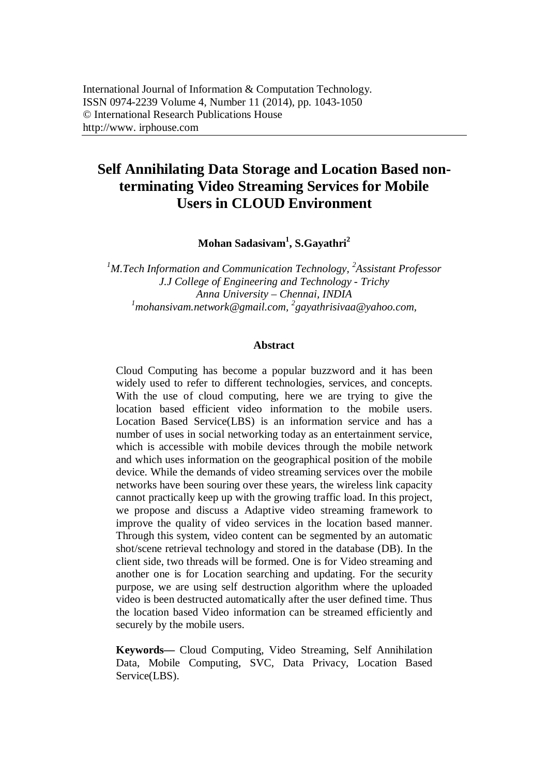# **Self Annihilating Data Storage and Location Based nonterminating Video Streaming Services for Mobile Users in CLOUD Environment**

**Mohan Sadasivam<sup>1</sup> , S.Gayathri<sup>2</sup>**

*<sup>1</sup>M.Tech Information and Communication Technology, <sup>2</sup> Assistant Professor J.J College of Engineering and Technology - Trichy Anna University – Chennai, INDIA <sup>1</sup>mohansivam.network@gmail.com, <sup>2</sup> gayathrisivaa@yahoo.com,*

#### **Abstract**

Cloud Computing has become a popular buzzword and it has been widely used to refer to different technologies, services, and concepts. With the use of cloud computing, here we are trying to give the location based efficient video information to the mobile users. Location Based Service(LBS) is an information service and has a number of uses in social networking today as an entertainment service, which is accessible with mobile devices through the mobile network and which uses information on the geographical position of the mobile device. While the demands of video streaming services over the mobile networks have been souring over these years, the wireless link capacity cannot practically keep up with the growing traffic load. In this project, we propose and discuss a Adaptive video streaming framework to improve the quality of video services in the location based manner. Through this system, video content can be segmented by an automatic shot/scene retrieval technology and stored in the database (DB). In the client side, two threads will be formed. One is for Video streaming and another one is for Location searching and updating. For the security purpose, we are using self destruction algorithm where the uploaded video is been destructed automatically after the user defined time. Thus the location based Video information can be streamed efficiently and securely by the mobile users.

**Keywords—** Cloud Computing, Video Streaming, Self Annihilation Data, Mobile Computing, SVC, Data Privacy, Location Based Service(LBS).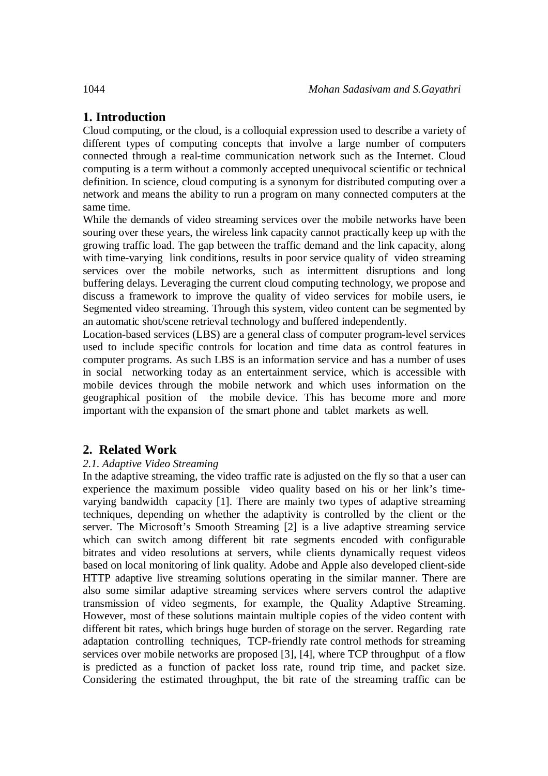## **1. Introduction**

Cloud computing, or the cloud, is a colloquial expression used to describe a variety of different types of computing concepts that involve a large number of computers connected through a real-time communication network such as the Internet. Cloud computing is a term without a commonly accepted unequivocal scientific or technical definition. In science, cloud computing is a synonym for distributed computing over a network and means the ability to run a program on many connected computers at the same time.

While the demands of video streaming services over the mobile networks have been souring over these years, the wireless link capacity cannot practically keep up with the growing traffic load. The gap between the traffic demand and the link capacity, along with time-varying link conditions, results in poor service quality of video streaming services over the mobile networks, such as intermittent disruptions and long buffering delays. Leveraging the current cloud computing technology, we propose and discuss a framework to improve the quality of video services for mobile users, ie Segmented video streaming. Through this system, video content can be segmented by an automatic shot/scene retrieval technology and buffered independently.

Location-based services (LBS) are a general class of computer program-level services used to include specific controls for location and time data as control features in computer programs. As such LBS is an information service and has a number of uses in social networking today as an entertainment service, which is accessible with mobile devices through the mobile network and which uses information on the geographical position of the mobile device. This has become more and more important with the expansion of the smart phone and tablet markets as well.

### **2. Related Work**

#### *2.1. Adaptive Video Streaming*

In the adaptive streaming, the video traffic rate is adjusted on the fly so that a user can experience the maximum possible video quality based on his or her link's timevarying bandwidth capacity [1]. There are mainly two types of adaptive streaming techniques, depending on whether the adaptivity is controlled by the client or the server. The Microsoft's Smooth Streaming [2] is a live adaptive streaming service which can switch among different bit rate segments encoded with configurable bitrates and video resolutions at servers, while clients dynamically request videos based on local monitoring of link quality. Adobe and Apple also developed client-side HTTP adaptive live streaming solutions operating in the similar manner. There are also some similar adaptive streaming services where servers control the adaptive transmission of video segments, for example, the Quality Adaptive Streaming. However, most of these solutions maintain multiple copies of the video content with different bit rates, which brings huge burden of storage on the server. Regarding rate adaptation controlling techniques, TCP-friendly rate control methods for streaming services over mobile networks are proposed [3], [4], where TCP throughput of a flow is predicted as a function of packet loss rate, round trip time, and packet size. Considering the estimated throughput, the bit rate of the streaming traffic can be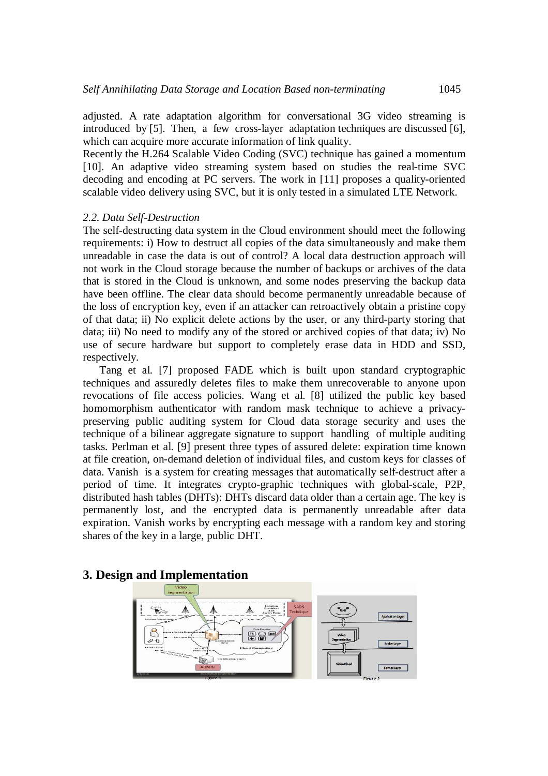adjusted. A rate adaptation algorithm for conversational 3G video streaming is introduced by [5]. Then, a few cross-layer adaptation techniques are discussed [6], which can acquire more accurate information of link quality.

Recently the H.264 Scalable Video Coding (SVC) technique has gained a momentum [10]. An adaptive video streaming system based on studies the real-time SVC decoding and encoding at PC servers. The work in [11] proposes a quality-oriented scalable video delivery using SVC, but it is only tested in a simulated LTE Network.

#### *2.2. Data Self-Destruction*

The self-destructing data system in the Cloud environment should meet the following requirements: i) How to destruct all copies of the data simultaneously and make them unreadable in case the data is out of control? A local data destruction approach will not work in the Cloud storage because the number of backups or archives of the data that is stored in the Cloud is unknown, and some nodes preserving the backup data have been offline. The clear data should become permanently unreadable because of the loss of encryption key, even if an attacker can retroactively obtain a pristine copy of that data; ii) No explicit delete actions by the user, or any third-party storing that data; iii) No need to modify any of the stored or archived copies of that data; iv) No use of secure hardware but support to completely erase data in HDD and SSD, respectively.

Tang et al. [7] proposed FADE which is built upon standard cryptographic techniques and assuredly deletes files to make them unrecoverable to anyone upon revocations of file access policies. Wang et al. [8] utilized the public key based homomorphism authenticator with random mask technique to achieve a privacypreserving public auditing system for Cloud data storage security and uses the technique of a bilinear aggregate signature to support handling of multiple auditing tasks. Perlman et al. [9] present three types of assured delete: expiration time known at file creation, on-demand deletion of individual files, and custom keys for classes of data. Vanish is a system for creating messages that automatically self-destruct after a period of time. It integrates crypto-graphic techniques with global-scale, P2P, distributed hash tables (DHTs): DHTs discard data older than a certain age. The key is permanently lost, and the encrypted data is permanently unreadable after data expiration. Vanish works by encrypting each message with a random key and storing shares of the key in a large, public DHT.

# $\vert$  segment Apolication  $\frac{1}{40}$ Service Layer

#### **3. Design and Implementation**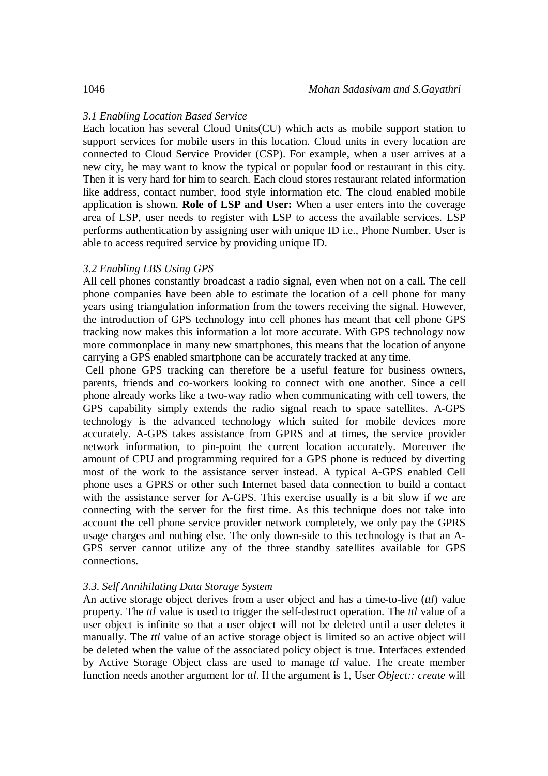#### *3.1 Enabling Location Based Service*

Each location has several Cloud Units(CU) which acts as mobile support station to support services for mobile users in this location. Cloud units in every location are connected to Cloud Service Provider (CSP). For example, when a user arrives at a new city, he may want to know the typical or popular food or restaurant in this city. Then it is very hard for him to search. Each cloud stores restaurant related information like address, contact number, food style information etc. The cloud enabled mobile application is shown. **Role of LSP and User:** When a user enters into the coverage area of LSP, user needs to register with LSP to access the available services. LSP performs authentication by assigning user with unique ID i.e., Phone Number. User is able to access required service by providing unique ID.

#### *3.2 Enabling LBS Using GPS*

All cell phones constantly broadcast a radio signal, even when not on a call. The cell phone companies have been able to estimate the location of a cell phone for many years using triangulation information from the towers receiving the signal. However, the introduction of GPS technology into cell phones has meant that cell phone GPS tracking now makes this information a lot more accurate. With GPS technology now more commonplace in many new smartphones, this means that the location of anyone carrying a GPS enabled smartphone can be accurately tracked at any time.

Cell phone GPS tracking can therefore be a useful feature for business owners, parents, friends and co-workers looking to connect with one another. Since a cell phone already works like a two-way radio when communicating with cell towers, the GPS capability simply extends the radio signal reach to space satellites. A-GPS technology is the advanced technology which suited for mobile devices more accurately. A-GPS takes assistance from GPRS and at times, the service provider network information, to pin-point the current location accurately. Moreover the amount of CPU and programming required for a GPS phone is reduced by diverting most of the work to the assistance server instead. A typical A-GPS enabled Cell phone uses a GPRS or other such Internet based data connection to build a contact with the assistance server for A-GPS. This exercise usually is a bit slow if we are connecting with the server for the first time. As this technique does not take into account the cell phone service provider network completely, we only pay the GPRS usage charges and nothing else. The only down-side to this technology is that an A-GPS server cannot utilize any of the three standby satellites available for GPS connections.

#### *3.3. Self Annihilating Data Storage System*

An active storage object derives from a user object and has a time-to-live (*ttl*) value property. The *ttl* value is used to trigger the self-destruct operation. The *ttl* value of a user object is infinite so that a user object will not be deleted until a user deletes it manually. The *ttl* value of an active storage object is limited so an active object will be deleted when the value of the associated policy object is true. Interfaces extended by Active Storage Object class are used to manage *ttl* value. The create member function needs another argument for *ttl*. If the argument is 1, User *Object:: create* will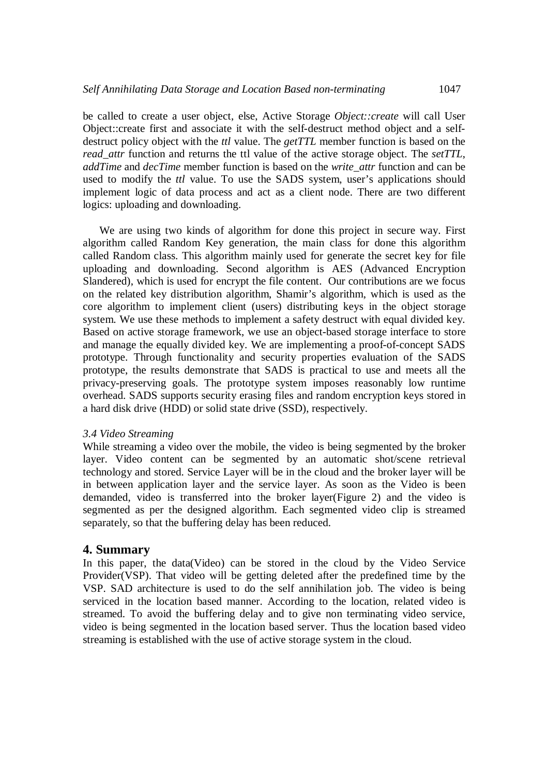be called to create a user object, else, Active Storage *Object::create* will call User Object::create first and associate it with the self-destruct method object and a selfdestruct policy object with the *ttl* value. The *getTTL* member function is based on the *read\_attr* function and returns the ttl value of the active storage object. The *setTTL*, *addTime* and *decTime* member function is based on the *write\_attr* function and can be used to modify the *ttl* value. To use the SADS system, user's applications should implement logic of data process and act as a client node. There are two different logics: uploading and downloading.

We are using two kinds of algorithm for done this project in secure way. First algorithm called Random Key generation, the main class for done this algorithm called Random class. This algorithm mainly used for generate the secret key for file uploading and downloading. Second algorithm is AES (Advanced Encryption Slandered), which is used for encrypt the file content. Our contributions are we focus on the related key distribution algorithm, Shamir's algorithm, which is used as the core algorithm to implement client (users) distributing keys in the object storage system. We use these methods to implement a safety destruct with equal divided key. Based on active storage framework, we use an object-based storage interface to store and manage the equally divided key. We are implementing a proof-of-concept SADS prototype. Through functionality and security properties evaluation of the SADS prototype, the results demonstrate that SADS is practical to use and meets all the privacy-preserving goals. The prototype system imposes reasonably low runtime overhead. SADS supports security erasing files and random encryption keys stored in a hard disk drive (HDD) or solid state drive (SSD), respectively.

#### *3.4 Video Streaming*

While streaming a video over the mobile, the video is being segmented by the broker layer. Video content can be segmented by an automatic shot/scene retrieval technology and stored. Service Layer will be in the cloud and the broker layer will be in between application layer and the service layer. As soon as the Video is been demanded, video is transferred into the broker layer(Figure 2) and the video is segmented as per the designed algorithm. Each segmented video clip is streamed separately, so that the buffering delay has been reduced.

#### **4. Summary**

In this paper, the data(Video) can be stored in the cloud by the Video Service Provider(VSP). That video will be getting deleted after the predefined time by the VSP. SAD architecture is used to do the self annihilation job. The video is being serviced in the location based manner. According to the location, related video is streamed. To avoid the buffering delay and to give non terminating video service, video is being segmented in the location based server. Thus the location based video streaming is established with the use of active storage system in the cloud.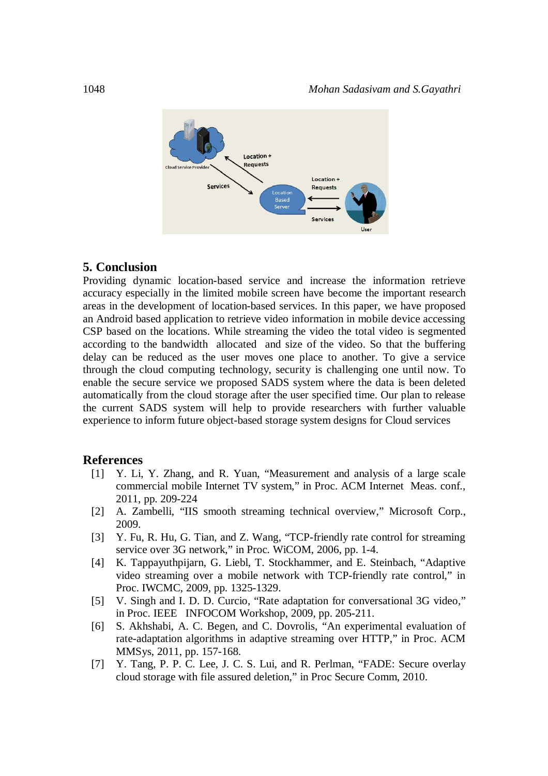

#### **5. Conclusion**

Providing dynamic location-based service and increase the information retrieve accuracy especially in the limited mobile screen have become the important research areas in the development of location-based services. In this paper, we have proposed an Android based application to retrieve video information in mobile device accessing CSP based on the locations. While streaming the video the total video is segmented according to the bandwidth allocated and size of the video. So that the buffering delay can be reduced as the user moves one place to another. To give a service through the cloud computing technology, security is challenging one until now. To enable the secure service we proposed SADS system where the data is been deleted automatically from the cloud storage after the user specified time. Our plan to release the current SADS system will help to provide researchers with further valuable experience to inform future object-based storage system designs for Cloud services

#### **References**

- [1] Y. Li, Y. Zhang, and R. Yuan, "Measurement and analysis of a large scale commercial mobile Internet TV system," in Proc. ACM Internet Meas. conf., 2011, pp. 209-224
- [2] A. Zambelli, "IIS smooth streaming technical overview," Microsoft Corp., 2009.
- [3] Y. Fu, R. Hu, G. Tian, and Z. Wang, "TCP-friendly rate control for streaming service over 3G network," in Proc. WiCOM, 2006, pp. 1-4.
- [4] K. Tappayuthpijarn, G. Liebl, T. Stockhammer, and E. Steinbach, "Adaptive video streaming over a mobile network with TCP-friendly rate control," in Proc. IWCMC, 2009, pp. 1325-1329.
- [5] V. Singh and I. D. D. Curcio, "Rate adaptation for conversational 3G video," in Proc. IEEE INFOCOM Workshop, 2009, pp. 205-211.
- [6] S. Akhshabi, A. C. Begen, and C. Dovrolis, "An experimental evaluation of rate-adaptation algorithms in adaptive streaming over HTTP," in Proc. ACM MMSys, 2011, pp. 157-168.
- [7] Y. Tang, P. P. C. Lee, J. C. S. Lui, and R. Perlman, "FADE: Secure overlay cloud storage with file assured deletion," in Proc Secure Comm, 2010.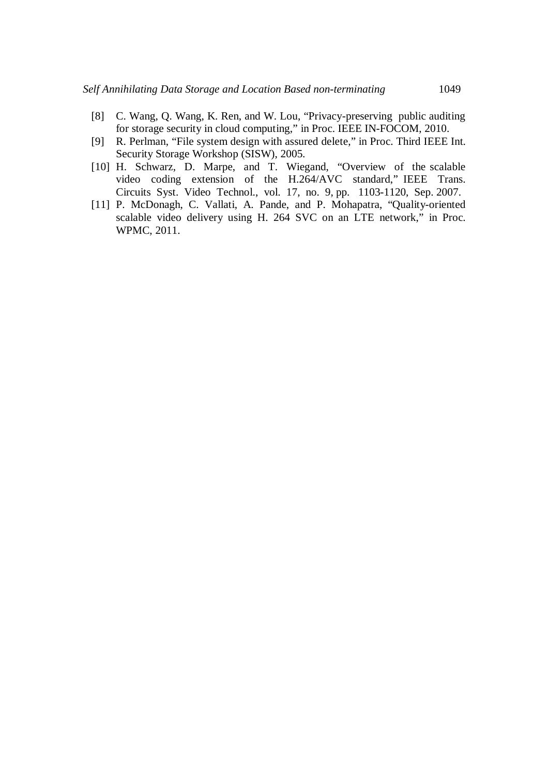- [8] C. Wang, Q. Wang, K. Ren, and W. Lou, "Privacy-preserving public auditing for storage security in cloud computing," in Proc. IEEE IN-FOCOM, 2010.
- [9] R. Perlman, "File system design with assured delete," in Proc. Third IEEE Int. Security Storage Workshop (SISW), 2005.
- [10] H. Schwarz, D. Marpe, and T. Wiegand, "Overview of the scalable video coding extension of the H.264/AVC standard," IEEE Trans. Circuits Syst. Video Technol., vol. 17, no. 9, pp. 1103-1120, Sep. 2007.
- [11] P. McDonagh, C. Vallati, A. Pande, and P. Mohapatra, "Quality-oriented scalable video delivery using H. 264 SVC on an LTE network," in Proc. WPMC, 2011.